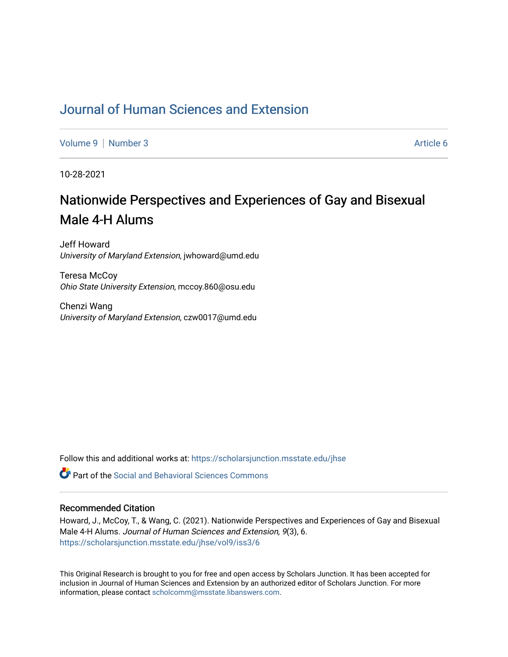# [Journal of Human Sciences and Extension](https://scholarsjunction.msstate.edu/jhse)

[Volume 9](https://scholarsjunction.msstate.edu/jhse/vol9) | [Number 3](https://scholarsjunction.msstate.edu/jhse/vol9/iss3) Article 6

10-28-2021

# Nationwide Perspectives and Experiences of Gay and Bisexual Male 4-H Alums

Jeff Howard University of Maryland Extension, jwhoward@umd.edu

Teresa McCoy Ohio State University Extension, mccoy.860@osu.edu

Chenzi Wang University of Maryland Extension, czw0017@umd.edu

Follow this and additional works at: [https://scholarsjunction.msstate.edu/jhse](https://scholarsjunction.msstate.edu/jhse?utm_source=scholarsjunction.msstate.edu%2Fjhse%2Fvol9%2Fiss3%2F6&utm_medium=PDF&utm_campaign=PDFCoverPages)

 $\bullet$  Part of the Social and Behavioral Sciences Commons

#### Recommended Citation

Howard, J., McCoy, T., & Wang, C. (2021). Nationwide Perspectives and Experiences of Gay and Bisexual Male 4-H Alums. Journal of Human Sciences and Extension, 9(3), 6. [https://scholarsjunction.msstate.edu/jhse/vol9/iss3/6](https://scholarsjunction.msstate.edu/jhse/vol9/iss3/6?utm_source=scholarsjunction.msstate.edu%2Fjhse%2Fvol9%2Fiss3%2F6&utm_medium=PDF&utm_campaign=PDFCoverPages)

This Original Research is brought to you for free and open access by Scholars Junction. It has been accepted for inclusion in Journal of Human Sciences and Extension by an authorized editor of Scholars Junction. For more information, please contact [scholcomm@msstate.libanswers.com](mailto:scholcomm@msstate.libanswers.com).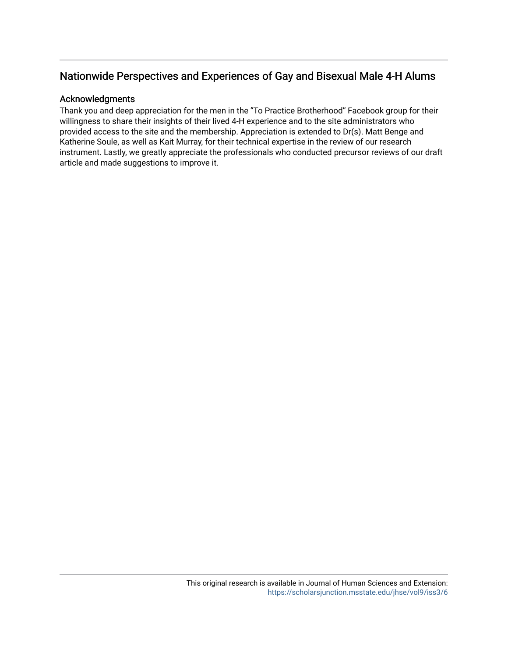# Nationwide Perspectives and Experiences of Gay and Bisexual Male 4-H Alums

#### Acknowledgments

Thank you and deep appreciation for the men in the "To Practice Brotherhood" Facebook group for their willingness to share their insights of their lived 4-H experience and to the site administrators who provided access to the site and the membership. Appreciation is extended to Dr(s). Matt Benge and Katherine Soule, as well as Kait Murray, for their technical expertise in the review of our research instrument. Lastly, we greatly appreciate the professionals who conducted precursor reviews of our draft article and made suggestions to improve it.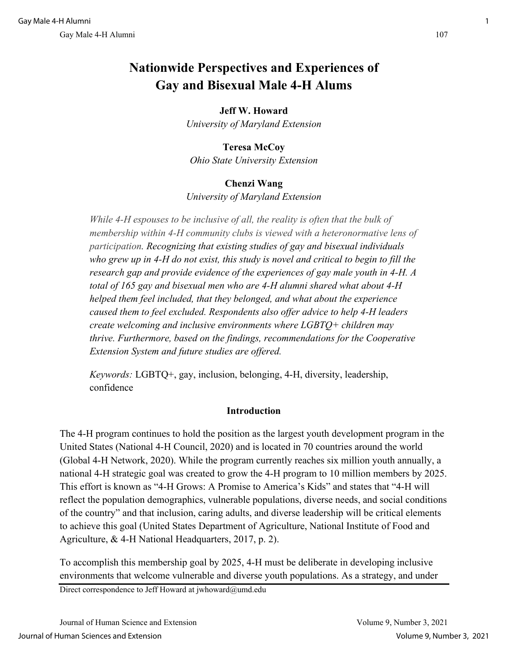# **Nationwide Perspectives and Experiences of Gay and Bisexual Male 4-H Alums**

# **Jeff W. Howard**

*University of Maryland Extension*

### **Teresa McCoy**

*Ohio State University Extension*

### **Chenzi Wang**

*University of Maryland Extension*

*While 4-H espouses to be inclusive of all, the reality is often that the bulk of membership within 4-H community clubs is viewed with a heteronormative lens of participation. Recognizing that existing studies of gay and bisexual individuals who grew up in 4-H do not exist, this study is novel and critical to begin to fill the research gap and provide evidence of the experiences of gay male youth in 4-H. A total of 165 gay and bisexual men who are 4-H alumni shared what about 4-H helped them feel included, that they belonged, and what about the experience caused them to feel excluded. Respondents also offer advice to help 4-H leaders create welcoming and inclusive environments where LGBTQ+ children may thrive. Furthermore, based on the findings, recommendations for the Cooperative Extension System and future studies are offered.*

*Keywords:* LGBTQ+, gay, inclusion, belonging, 4-H, diversity, leadership, confidence

### **Introduction**

The 4-H program continues to hold the position as the largest youth development program in the United States (National 4-H Council, 2020) and is located in 70 countries around the world (Global 4-H Network, 2020). While the program currently reaches six million youth annually, a national 4-H strategic goal was created to grow the 4-H program to 10 million members by 2025. This effort is known as "4-H Grows: A Promise to America's Kids" and states that "4-H will reflect the population demographics, vulnerable populations, diverse needs, and social conditions of the country" and that inclusion, caring adults, and diverse leadership will be critical elements to achieve this goal (United States Department of Agriculture, National Institute of Food and Agriculture, & 4-H National Headquarters, 2017, p. 2).

To accomplish this membership goal by 2025, 4-H must be deliberate in developing inclusive environments that welcome vulnerable and diverse youth populations. As a strategy, and under

Direct correspondence to Jeff Howard at jwhoward@umd.edu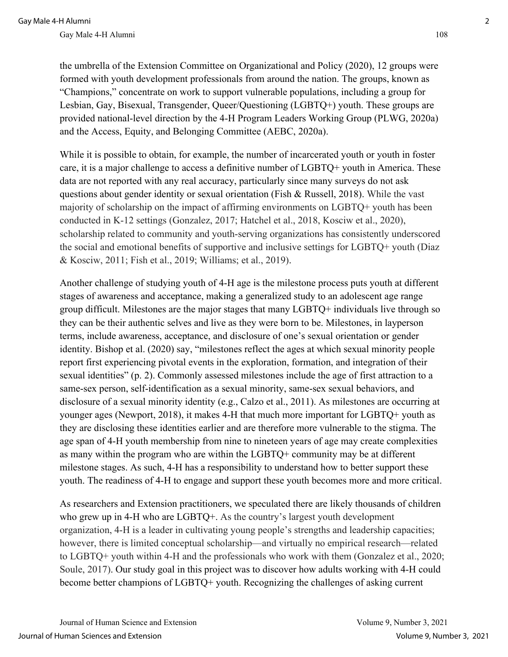the umbrella of the Extension Committee on Organizational and Policy (2020), 12 groups were formed with youth development professionals from around the nation. The groups, known as "Champions," concentrate on work to support vulnerable populations, including a group for Lesbian, Gay, Bisexual, Transgender, Queer/Questioning (LGBTQ+) youth. These groups are provided national-level direction by the 4-H Program Leaders Working Group (PLWG, 2020a) and the Access, Equity, and Belonging Committee (AEBC, 2020a).

While it is possible to obtain, for example, the number of incarcerated youth or youth in foster care, it is a major challenge to access a definitive number of LGBTQ+ youth in America. These data are not reported with any real accuracy, particularly since many surveys do not ask questions about gender identity or sexual orientation (Fish & Russell, 2018). While the vast majority of scholarship on the impact of affirming environments on LGBTQ+ youth has been conducted in K-12 settings (Gonzalez, 2017; Hatchel et al., 2018, Kosciw et al., 2020), scholarship related to community and youth-serving organizations has consistently underscored the social and emotional benefits of supportive and inclusive settings for LGBTQ+ youth (Diaz & Kosciw, 2011; Fish et al., 2019; Williams; et al., 2019).

Another challenge of studying youth of 4-H age is the milestone process puts youth at different stages of awareness and acceptance, making a generalized study to an adolescent age range group difficult. Milestones are the major stages that many LGBTQ+ individuals live through so they can be their authentic selves and live as they were born to be. Milestones, in layperson terms, include awareness, acceptance, and disclosure of one's sexual orientation or gender identity. Bishop et al. (2020) say, "milestones reflect the ages at which sexual minority people report first experiencing pivotal events in the exploration, formation, and integration of their sexual identities" (p. 2). Commonly assessed milestones include the age of first attraction to a same-sex person, self-identification as a sexual minority, same-sex sexual behaviors, and disclosure of a sexual minority identity (e.g., Calzo et al., 2011). As milestones are occurring at younger ages (Newport, 2018), it makes 4-H that much more important for LGBTQ+ youth as they are disclosing these identities earlier and are therefore more vulnerable to the stigma. The age span of 4-H youth membership from nine to nineteen years of age may create complexities as many within the program who are within the LGBTQ+ community may be at different milestone stages. As such, 4-H has a responsibility to understand how to better support these youth. The readiness of 4-H to engage and support these youth becomes more and more critical.

As researchers and Extension practitioners, we speculated there are likely thousands of children who grew up in 4-H who are LGBTQ+. As the country's largest youth development organization, 4-H is a leader in cultivating young people's strengths and leadership capacities; however, there is limited conceptual scholarship—and virtually no empirical research—related to LGBTQ+ youth within 4-H and the professionals who work with them (Gonzalez et al., 2020; Soule, 2017). Our study goal in this project was to discover how adults working with 4-H could become better champions of LGBTQ+ youth. Recognizing the challenges of asking current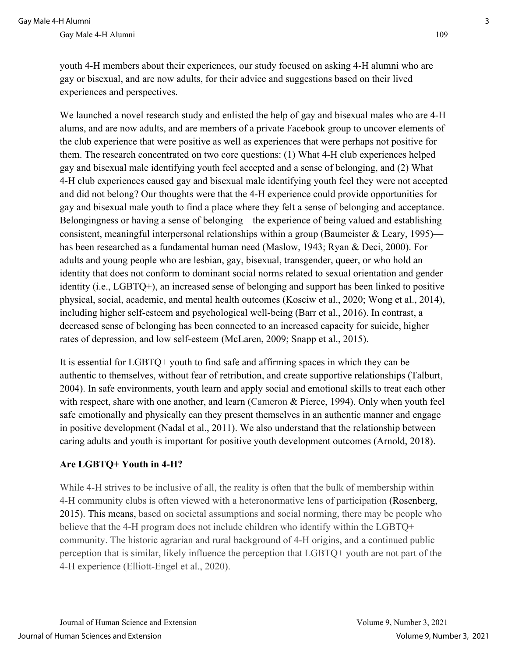youth 4-H members about their experiences, our study focused on asking 4-H alumni who are gay or bisexual, and are now adults, for their advice and suggestions based on their lived experiences and perspectives.

We launched a novel research study and enlisted the help of gay and bisexual males who are 4-H alums, and are now adults, and are members of a private Facebook group to uncover elements of the club experience that were positive as well as experiences that were perhaps not positive for them. The research concentrated on two core questions: (1) What 4-H club experiences helped gay and bisexual male identifying youth feel accepted and a sense of belonging, and (2) What 4-H club experiences caused gay and bisexual male identifying youth feel they were not accepted and did not belong? Our thoughts were that the 4-H experience could provide opportunities for gay and bisexual male youth to find a place where they felt a sense of belonging and acceptance. Belongingness or having a sense of belonging—the experience of being valued and establishing consistent, meaningful interpersonal relationships within a group (Baumeister & Leary, 1995) has been researched as a fundamental human need (Maslow, 1943; Ryan & Deci, 2000). For adults and young people who are lesbian, gay, bisexual, transgender, queer, or who hold an identity that does not conform to dominant social norms related to sexual orientation and gender identity (i.e., LGBTQ+), an increased sense of belonging and support has been linked to positive physical, social, academic, and mental health outcomes (Kosciw et al., 2020; Wong et al., 2014), including higher self-esteem and psychological well-being (Barr et al., 2016). In contrast, a decreased sense of belonging has been connected to an increased capacity for suicide, higher rates of depression, and low self-esteem (McLaren, 2009; Snapp et al., 2015).

It is essential for LGBTQ+ youth to find safe and affirming spaces in which they can be authentic to themselves, without fear of retribution, and create supportive relationships (Talburt, 2004). In safe environments, youth learn and apply social and emotional skills to treat each other with respect, share with one another, and learn (Cameron & Pierce, 1994). Only when youth feel safe emotionally and physically can they present themselves in an authentic manner and engage in positive development (Nadal et al., 2011). We also understand that the relationship between caring adults and youth is important for positive youth development outcomes (Arnold, 2018).

# **Are LGBTQ+ Youth in 4-H?**

While 4-H strives to be inclusive of all, the reality is often that the bulk of membership within 4-H community clubs is often viewed with a heteronormative lens of participation (Rosenberg, 2015). This means, based on societal assumptions and social norming, there may be people who believe that the 4-H program does not include children who identify within the LGBTQ+ community. The historic agrarian and rural background of 4-H origins, and a continued public perception that is similar, likely influence the perception that LGBTQ+ youth are not part of the 4-H experience (Elliott-Engel et al., 2020).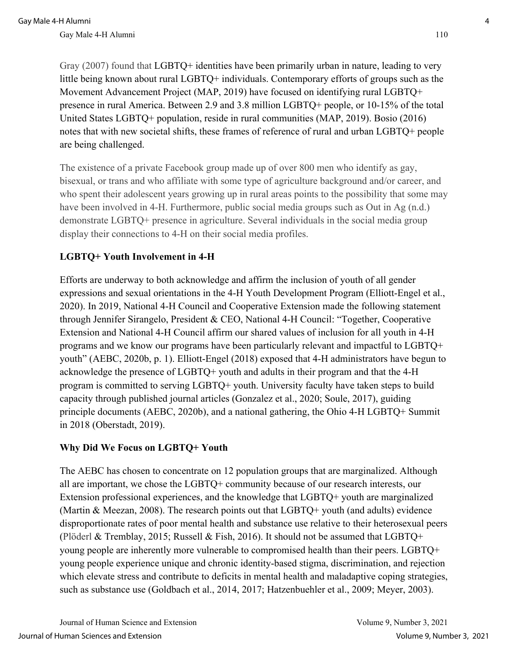Gray (2007) found that LGBTQ+ identities have been primarily urban in nature, leading to very little being known about rural LGBTQ+ individuals. Contemporary efforts of groups such as the Movement Advancement Project (MAP, 2019) have focused on identifying rural LGBTQ+ presence in rural America. Between 2.9 and 3.8 million LGBTQ+ people, or 10-15% of the total United States LGBTQ+ population, reside in rural communities (MAP, 2019). Bosio (2016) notes that with new societal shifts, these frames of reference of rural and urban LGBTQ+ people are being challenged.

The existence of a private Facebook group made up of over 800 men who identify as gay, bisexual, or trans and who affiliate with some type of agriculture background and/or career, and who spent their adolescent years growing up in rural areas points to the possibility that some may have been involved in 4-H. Furthermore, public social media groups such as Out in Ag (n.d.) demonstrate LGBTQ+ presence in agriculture. Several individuals in the social media group display their connections to 4-H on their social media profiles.

# **LGBTQ+ Youth Involvement in 4-H**

Efforts are underway to both acknowledge and affirm the inclusion of youth of all gender expressions and sexual orientations in the 4-H Youth Development Program (Elliott-Engel et al., 2020). In 2019, National 4-H Council and Cooperative Extension made the following statement through Jennifer Sirangelo, President & CEO, National 4-H Council: "Together, Cooperative Extension and National 4-H Council affirm our shared values of inclusion for all youth in 4-H programs and we know our programs have been particularly relevant and impactful to LGBTQ+ youth" (AEBC, 2020b, p. 1). Elliott-Engel (2018) exposed that 4-H administrators have begun to acknowledge the presence of LGBTQ+ youth and adults in their program and that the 4-H program is committed to serving LGBTQ+ youth. University faculty have taken steps to build capacity through published journal articles (Gonzalez et al., 2020; Soule, 2017), guiding principle documents (AEBC, 2020b), and a national gathering, the Ohio 4-H LGBTQ+ Summit in 2018 (Oberstadt, 2019).

# **Why Did We Focus on LGBTQ+ Youth**

The AEBC has chosen to concentrate on 12 population groups that are marginalized. Although all are important, we chose the LGBTQ+ community because of our research interests, our Extension professional experiences, and the knowledge that LGBTQ+ youth are marginalized (Martin & Meezan, 2008). The research points out that LGBTQ+ youth (and adults) evidence disproportionate rates of poor mental health and substance use relative to their heterosexual peers (Plöderl & Tremblay, 2015; Russell & Fish, 2016). It should not be assumed that LGBTQ+ young people are inherently more vulnerable to compromised health than their peers. LGBTQ+ young people experience unique and chronic identity-based stigma, discrimination, and rejection which elevate stress and contribute to deficits in mental health and maladaptive coping strategies, such as substance use (Goldbach et al., 2014, 2017; Hatzenbuehler et al., 2009; Meyer, 2003).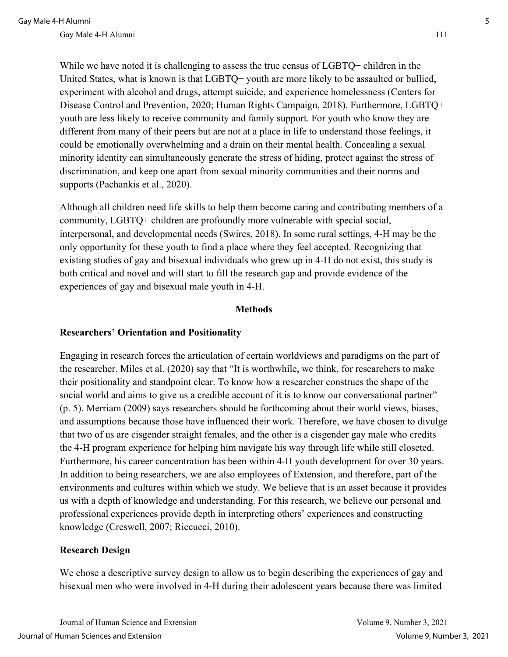While we have noted it is challenging to assess the true census of LGBTQ+ children in the United States, what is known is that LGBTQ+ youth are more likely to be assaulted or bullied, experiment with alcohol and drugs, attempt suicide, and experience homelessness (Centers for Disease Control and Prevention, 2020; Human Rights Campaign, 2018). Furthermore, LGBTQ+ youth are less likely to receive community and family support. For youth who know they are different from many of their peers but are not at a place in life to understand those feelings, it could be emotionally overwhelming and a drain on their mental health. Concealing a sexual minority identity can simultaneously generate the stress of hiding, protect against the stress of discrimination, and keep one apart from sexual minority communities and their norms and supports (Pachankis et al., 2020).

Although all children need life skills to help them become caring and contributing members of a community, LGBTQ+ children are profoundly more vulnerable with special social, interpersonal, and developmental needs (Swires, 2018). In some rural settings, 4-H may be the only opportunity for these youth to find a place where they feel accepted. Recognizing that existing studies of gay and bisexual individuals who grew up in 4-H do not exist, this study is both critical and novel and will start to fill the research gap and provide evidence of the experiences of gay and bisexual male youth in 4-H.

#### **Methods**

#### **Researchers' Orientation and Positionality**

Engaging in research forces the articulation of certain worldviews and paradigms on the part of the researcher. Miles et al. (2020) say that "It is worthwhile, we think, for researchers to make their positionality and standpoint clear. To know how a researcher construes the shape of the social world and aims to give us a credible account of it is to know our conversational partner" (p. 5). Merriam (2009) says researchers should be forthcoming about their world views, biases, and assumptions because those have influenced their work. Therefore, we have chosen to divulge that two of us are cisgender straight females, and the other is a cisgender gay male who credits the 4-H program experience for helping him navigate his way through life while still closeted. Furthermore, his career concentration has been within 4-H youth development for over 30 years. In addition to being researchers, we are also employees of Extension, and therefore, part of the environments and cultures within which we study. We believe that is an asset because it provides us with a depth of knowledge and understanding. For this research, we believe our personal and professional experiences provide depth in interpreting others' experiences and constructing knowledge (Creswell, 2007; Riccucci, 2010).

### **Research Design**

We chose a descriptive survey design to allow us to begin describing the experiences of gay and bisexual men who were involved in 4-H during their adolescent years because there was limited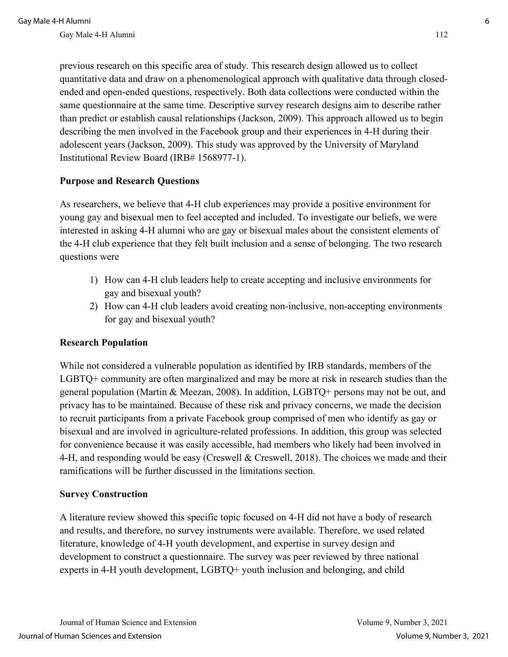previous research on this specific area of study. This research design allowed us to collect quantitative data and draw on a phenomenological approach with qualitative data through closedended and open-ended questions, respectively. Both data collections were conducted within the same questionnaire at the same time. Descriptive survey research designs aim to describe rather than predict or establish causal relationships (Jackson, 2009). This approach allowed us to begin describing the men involved in the Facebook group and their experiences in 4-H during their adolescent years (Jackson, 2009). This study was approved by the University of Maryland Institutional Review Board (IRB# 1568977-1).

### **Purpose and Research Questions**

As researchers, we believe that 4-H club experiences may provide a positive environment for young gay and bisexual men to feel accepted and included. To investigate our beliefs, we were interested in asking 4-H alumni who are gay or bisexual males about the consistent elements of the 4-H club experience that they felt built inclusion and a sense of belonging. The two research questions were

- 1) How can 4-H club leaders help to create accepting and inclusive environments for gay and bisexual youth?
- 2) How can 4-H club leaders avoid creating non-inclusive, non-accepting environments for gay and bisexual youth?

### **Research Population**

While not considered a vulnerable population as identified by IRB standards, members of the LGBTQ+ community are often marginalized and may be more at risk in research studies than the general population (Martin & Meezan, 2008). In addition, LGBTQ+ persons may not be out, and privacy has to be maintained. Because of these risk and privacy concerns, we made the decision to recruit participants from a private Facebook group comprised of men who identify as gay or bisexual and are involved in agriculture-related professions. In addition, this group was selected for convenience because it was easily accessible, had members who likely had been involved in 4-H, and responding would be easy (Creswell & Creswell, 2018). The choices we made and their ramifications will be further discussed in the limitations section.

### **Survey Construction**

A literature review showed this specific topic focused on 4-H did not have a body of research and results, and therefore, no survey instruments were available. Therefore, we used related literature, knowledge of 4-H youth development, and expertise in survey design and development to construct a questionnaire. The survey was peer reviewed by three national experts in 4-H youth development, LGBTQ+ youth inclusion and belonging, and child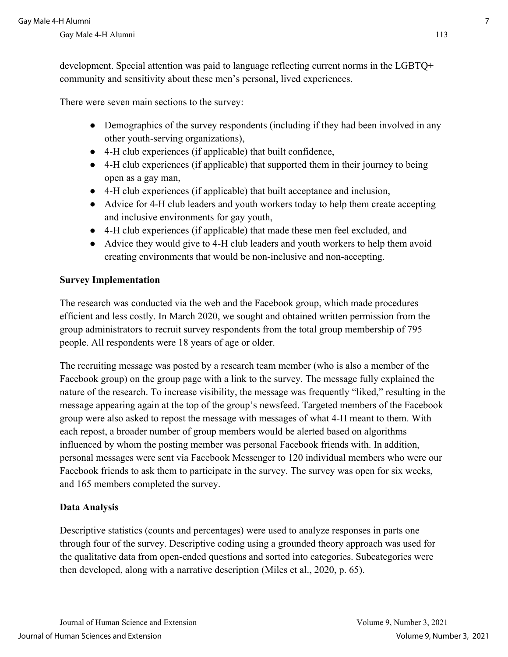development. Special attention was paid to language reflecting current norms in the LGBTQ+ community and sensitivity about these men's personal, lived experiences.

There were seven main sections to the survey:

- Demographics of the survey respondents (including if they had been involved in any other youth-serving organizations),
- 4-H club experiences (if applicable) that built confidence,
- 4-H club experiences (if applicable) that supported them in their journey to being open as a gay man,
- 4-H club experiences (if applicable) that built acceptance and inclusion,
- Advice for 4-H club leaders and youth workers today to help them create accepting and inclusive environments for gay youth,
- 4-H club experiences (if applicable) that made these men feel excluded, and
- Advice they would give to 4-H club leaders and youth workers to help them avoid creating environments that would be non-inclusive and non-accepting.

### **Survey Implementation**

The research was conducted via the web and the Facebook group, which made procedures efficient and less costly. In March 2020, we sought and obtained written permission from the group administrators to recruit survey respondents from the total group membership of 795 people. All respondents were 18 years of age or older.

The recruiting message was posted by a research team member (who is also a member of the Facebook group) on the group page with a link to the survey. The message fully explained the nature of the research. To increase visibility, the message was frequently "liked," resulting in the message appearing again at the top of the group's newsfeed. Targeted members of the Facebook group were also asked to repost the message with messages of what 4-H meant to them. With each repost, a broader number of group members would be alerted based on algorithms influenced by whom the posting member was personal Facebook friends with. In addition, personal messages were sent via Facebook Messenger to 120 individual members who were our Facebook friends to ask them to participate in the survey. The survey was open for six weeks, and 165 members completed the survey.

### **Data Analysis**

Descriptive statistics (counts and percentages) were used to analyze responses in parts one through four of the survey. Descriptive coding using a grounded theory approach was used for the qualitative data from open-ended questions and sorted into categories. Subcategories were then developed, along with a narrative description (Miles et al., 2020, p. 65).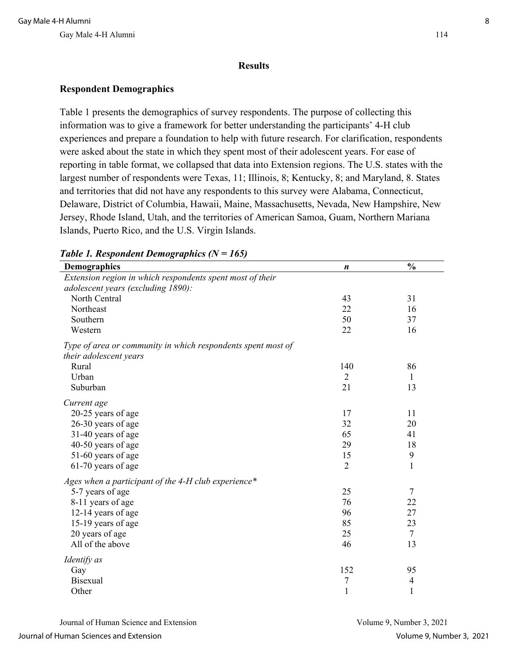#### **Results**

### **Respondent Demographics**

Table 1 presents the demographics of survey respondents. The purpose of collecting this information was to give a framework for better understanding the participants' 4-H club experiences and prepare a foundation to help with future research. For clarification, respondents were asked about the state in which they spent most of their adolescent years. For ease of reporting in table format, we collapsed that data into Extension regions. The U.S. states with the largest number of respondents were Texas, 11; Illinois, 8; Kentucky, 8; and Maryland, 8. States and territories that did not have any respondents to this survey were Alabama, Connecticut, Delaware, District of Columbia, Hawaii, Maine, Massachusetts, Nevada, New Hampshire, New Jersey, Rhode Island, Utah, and the territories of American Samoa, Guam, Northern Mariana Islands, Puerto Rico, and the U.S. Virgin Islands.

| Demographics                                                                                    | $\boldsymbol{n}$ | $\frac{0}{0}$            |
|-------------------------------------------------------------------------------------------------|------------------|--------------------------|
| Extension region in which respondents spent most of their<br>adolescent years (excluding 1890): |                  |                          |
| North Central                                                                                   | 43               | 31                       |
| Northeast                                                                                       | 22               | 16                       |
| Southern                                                                                        | 50               | 37                       |
| Western                                                                                         | 22               | 16                       |
| Type of area or community in which respondents spent most of<br>their adolescent years          |                  |                          |
| Rural                                                                                           | 140              | 86                       |
| Urban                                                                                           | $\overline{2}$   | 1                        |
| Suburban                                                                                        | 21               | 13                       |
| Current age<br>20-25 years of age                                                               | 17               | 11                       |
| 26-30 years of age                                                                              | 32               | 20                       |
| 31-40 years of age                                                                              | 65               | 41                       |
| 40-50 years of age                                                                              | 29               | 18                       |
| 51-60 years of age                                                                              | 15               | $\boldsymbol{9}$         |
| 61-70 years of age                                                                              | $\overline{2}$   | $\mathbf{1}$             |
| Ages when a participant of the 4-H club experience*                                             |                  |                          |
| 5-7 years of age                                                                                | 25               | $\tau$                   |
| 8-11 years of age                                                                               | 76               | 22                       |
| 12-14 years of age                                                                              | 96               | 27                       |
| 15-19 years of age                                                                              | 85               | 23                       |
| 20 years of age                                                                                 | 25               | $\tau$                   |
| All of the above                                                                                | 46               | 13                       |
| Identify as                                                                                     |                  |                          |
| Gay                                                                                             | 152              | 95                       |
| <b>Bisexual</b>                                                                                 | 7                | $\overline{\mathcal{A}}$ |
| Other                                                                                           | $\mathbf{1}$     | $\mathbf{1}$             |

### *Table 1. Respondent Demographics (N = 165)*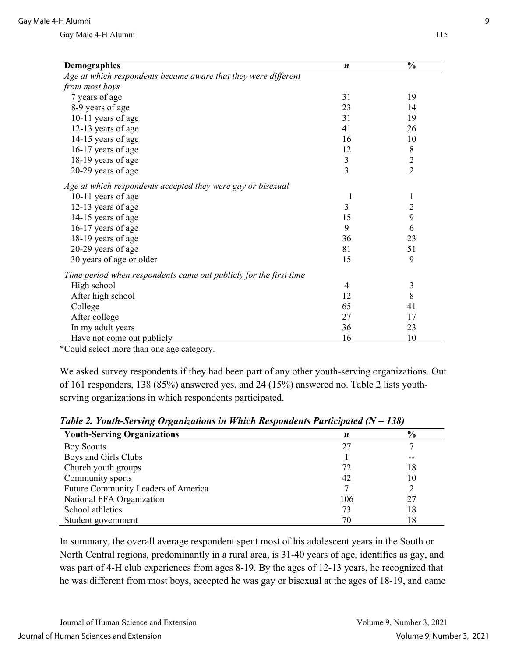| <b>Demographics</b>                                               | $\boldsymbol{n}$ | $\frac{0}{0}$  |
|-------------------------------------------------------------------|------------------|----------------|
| Age at which respondents became aware that they were different    |                  |                |
| from most boys                                                    |                  |                |
| 7 years of age                                                    | 31               | 19             |
| 8-9 years of age                                                  | 23               | 14             |
| 10-11 years of age                                                | 31               | 19             |
| 12-13 years of age                                                | 41               | 26             |
| 14-15 years of age                                                | 16               | 10             |
| 16-17 years of age                                                | 12               | 8              |
| 18-19 years of age                                                | $\mathfrak{Z}$   | $\sqrt{2}$     |
| 20-29 years of age                                                | $\overline{3}$   | $\overline{2}$ |
| Age at which respondents accepted they were gay or bisexual       |                  |                |
| 10-11 years of age                                                | 1                | $\mathbf{1}$   |
| 12-13 years of age                                                | 3                | $\overline{2}$ |
| 14-15 years of age                                                | 15               | 9              |
| 16-17 years of age                                                | 9                | 6              |
| 18-19 years of age                                                | 36               | 23             |
| 20-29 years of age                                                | 81               | 51             |
| 30 years of age or older                                          | 15               | 9              |
| Time period when respondents came out publicly for the first time |                  |                |
| High school                                                       | 4                | $\mathfrak{Z}$ |
| After high school                                                 | 12               | 8              |
| College                                                           | 65               | 41             |
| After college                                                     | 27               | 17             |
| In my adult years                                                 | 36               | 23             |
| Have not come out publicly                                        | 16               | 10             |

\*Could select more than one age category.

We asked survey respondents if they had been part of any other youth-serving organizations. Out of 161 responders, 138 (85%) answered yes, and 24 (15%) answered no. Table 2 lists youthserving organizations in which respondents participated.

| <b>Youth-Serving Organizations</b>  | n   | $\frac{0}{0}$ |
|-------------------------------------|-----|---------------|
| <b>Boy Scouts</b>                   | 27  |               |
| Boys and Girls Clubs                |     | --            |
| Church youth groups                 | 72  | 18            |
| Community sports                    | 42  | 10            |
| Future Community Leaders of America |     |               |
| National FFA Organization           | 106 | 27            |
| School athletics                    | 73  | 18            |
| Student government                  | 70  | 18            |

*Table 2. Youth-Serving Organizations in Which Respondents Participated (N = 138)* 

In summary, the overall average respondent spent most of his adolescent years in the South or North Central regions, predominantly in a rural area, is 31-40 years of age, identifies as gay, and was part of 4-H club experiences from ages 8-19. By the ages of 12-13 years, he recognized that he was different from most boys, accepted he was gay or bisexual at the ages of 18-19, and came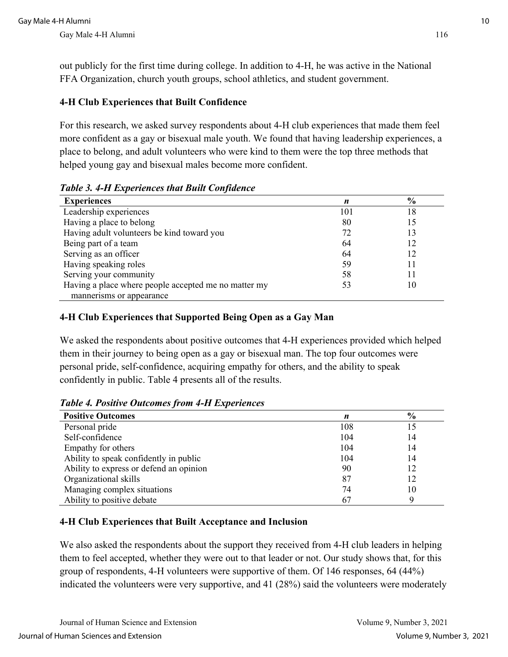out publicly for the first time during college. In addition to 4-H, he was active in the National FFA Organization, church youth groups, school athletics, and student government.

# **4-H Club Experiences that Built Confidence**

For this research, we asked survey respondents about 4-H club experiences that made them feel more confident as a gay or bisexual male youth. We found that having leadership experiences, a place to belong, and adult volunteers who were kind to them were the top three methods that helped young gay and bisexual males become more confident.

| <b>Experiences</b>                                   | n   | $\frac{0}{0}$ |
|------------------------------------------------------|-----|---------------|
| Leadership experiences                               | 101 | 18            |
| Having a place to belong                             | 80  |               |
| Having adult volunteers be kind toward you           | 72  |               |
| Being part of a team                                 | 64  |               |
| Serving as an officer                                | 64  |               |
| Having speaking roles                                | 59  |               |
| Serving your community                               | 58  |               |
| Having a place where people accepted me no matter my | 53  | 10            |
| mannerisms or appearance                             |     |               |

*Table 3. 4-H Experiences that Built Confidence*

# **4-H Club Experiences that Supported Being Open as a Gay Man**

We asked the respondents about positive outcomes that 4-H experiences provided which helped them in their journey to being open as a gay or bisexual man. The top four outcomes were personal pride, self-confidence, acquiring empathy for others, and the ability to speak confidently in public. Table 4 presents all of the results.

**Positive Outcomes** *n*  $\frac{9}{6}$ Personal pride Self-confidence Empathy for others Ability to speak confidently in public Ability to express or defend an opinion Organizational skills Managing complex situations Ability to positive debate 108 104 104 104 90 87 74 67 15 14 14 14 12 12 10 9

*Table 4. Positive Outcomes from 4-H Experiences*

# **4-H Club Experiences that Built Acceptance and Inclusion**

We also asked the respondents about the support they received from 4-H club leaders in helping them to feel accepted, whether they were out to that leader or not. Our study shows that, for this group of respondents, 4-H volunteers were supportive of them. Of 146 responses, 64 (44%) indicated the volunteers were very supportive, and 41 (28%) said the volunteers were moderately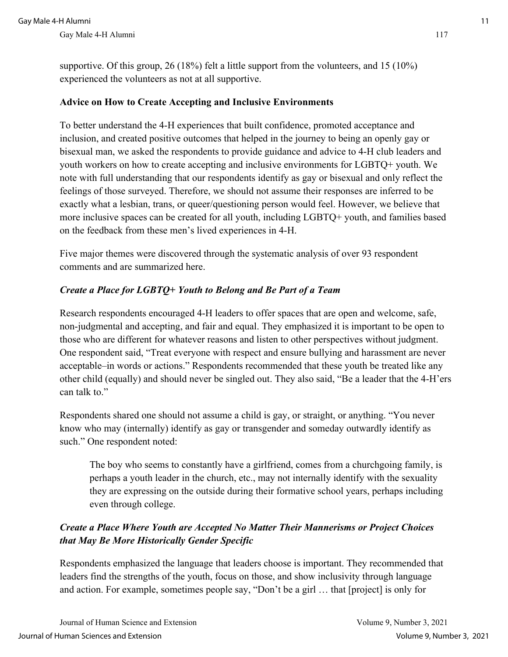supportive. Of this group, 26 (18%) felt a little support from the volunteers, and 15 (10%) experienced the volunteers as not at all supportive.

### **Advice on How to Create Accepting and Inclusive Environments**

To better understand the 4-H experiences that built confidence, promoted acceptance and inclusion, and created positive outcomes that helped in the journey to being an openly gay or bisexual man, we asked the respondents to provide guidance and advice to 4-H club leaders and youth workers on how to create accepting and inclusive environments for LGBTQ+ youth. We note with full understanding that our respondents identify as gay or bisexual and only reflect the feelings of those surveyed. Therefore, we should not assume their responses are inferred to be exactly what a lesbian, trans, or queer/questioning person would feel. However, we believe that more inclusive spaces can be created for all youth, including LGBTQ+ youth, and families based on the feedback from these men's lived experiences in 4-H.

Five major themes were discovered through the systematic analysis of over 93 respondent comments and are summarized here.

# *Create a Place for LGBTQ+ Youth to Belong and Be Part of a Team*

Research respondents encouraged 4-H leaders to offer spaces that are open and welcome, safe, non-judgmental and accepting, and fair and equal. They emphasized it is important to be open to those who are different for whatever reasons and listen to other perspectives without judgment. One respondent said, "Treat everyone with respect and ensure bullying and harassment are never acceptable–in words or actions." Respondents recommended that these youth be treated like any other child (equally) and should never be singled out. They also said, "Be a leader that the 4-H'ers can talk to."

Respondents shared one should not assume a child is gay, or straight, or anything. "You never know who may (internally) identify as gay or transgender and someday outwardly identify as such." One respondent noted:

The boy who seems to constantly have a girlfriend, comes from a churchgoing family, is perhaps a youth leader in the church, etc., may not internally identify with the sexuality they are expressing on the outside during their formative school years, perhaps including even through college.

# *Create a Place Where Youth are Accepted No Matter Their Mannerisms or Project Choices that May Be More Historically Gender Specific*

Respondents emphasized the language that leaders choose is important. They recommended that leaders find the strengths of the youth, focus on those, and show inclusivity through language and action. For example, sometimes people say, "Don't be a girl … that [project] is only for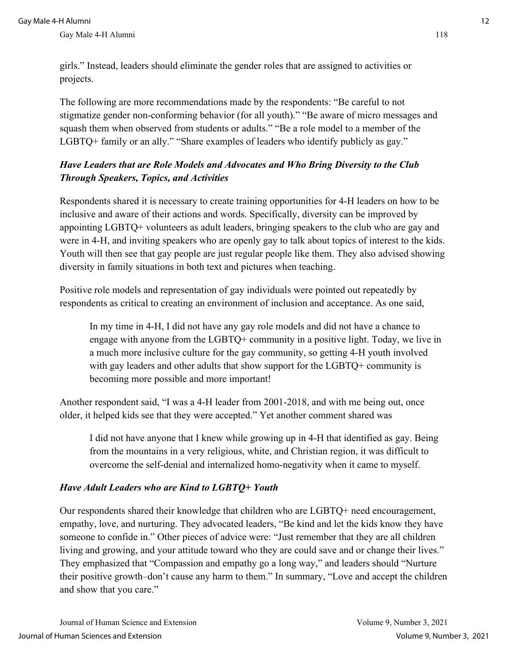girls." Instead, leaders should eliminate the gender roles that are assigned to activities or projects.

The following are more recommendations made by the respondents: "Be careful to not stigmatize gender non-conforming behavior (for all youth)." "Be aware of micro messages and squash them when observed from students or adults." "Be a role model to a member of the LGBTQ+ family or an ally." "Share examples of leaders who identify publicly as gay."

# *Have Leaders that are Role Models and Advocates and Who Bring Diversity to the Club Through Speakers, Topics, and Activities*

Respondents shared it is necessary to create training opportunities for 4-H leaders on how to be inclusive and aware of their actions and words. Specifically, diversity can be improved by appointing LGBTQ+ volunteers as adult leaders, bringing speakers to the club who are gay and were in 4-H, and inviting speakers who are openly gay to talk about topics of interest to the kids. Youth will then see that gay people are just regular people like them. They also advised showing diversity in family situations in both text and pictures when teaching.

Positive role models and representation of gay individuals were pointed out repeatedly by respondents as critical to creating an environment of inclusion and acceptance. As one said,

In my time in 4-H, I did not have any gay role models and did not have a chance to engage with anyone from the LGBTQ+ community in a positive light. Today, we live in a much more inclusive culture for the gay community, so getting 4-H youth involved with gay leaders and other adults that show support for the LGBTQ+ community is becoming more possible and more important!

Another respondent said, "I was a 4-H leader from 2001-2018, and with me being out, once older, it helped kids see that they were accepted." Yet another comment shared was

I did not have anyone that I knew while growing up in 4-H that identified as gay. Being from the mountains in a very religious, white, and Christian region, it was difficult to overcome the self-denial and internalized homo-negativity when it came to myself.

# *Have Adult Leaders who are Kind to LGBTQ+ Youth*

Our respondents shared their knowledge that children who are LGBTQ+ need encouragement, empathy, love, and nurturing. They advocated leaders, "Be kind and let the kids know they have someone to confide in." Other pieces of advice were: "Just remember that they are all children living and growing, and your attitude toward who they are could save and or change their lives." They emphasized that "Compassion and empathy go a long way," and leaders should "Nurture their positive growth–don't cause any harm to them." In summary, "Love and accept the children and show that you care."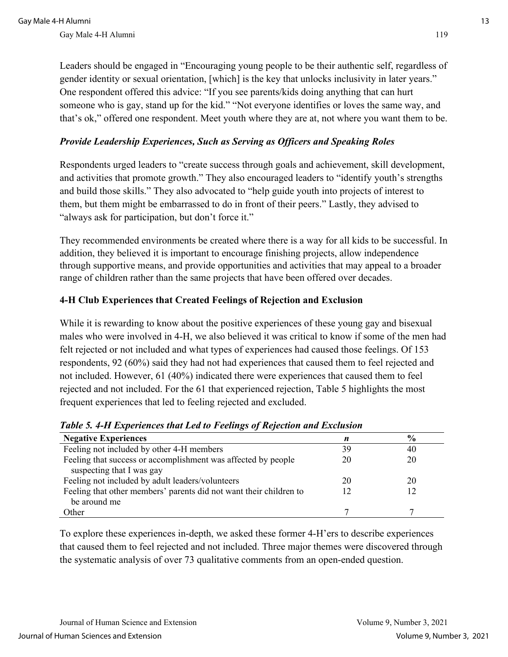Leaders should be engaged in "Encouraging young people to be their authentic self, regardless of gender identity or sexual orientation, [which] is the key that unlocks inclusivity in later years." One respondent offered this advice: "If you see parents/kids doing anything that can hurt someone who is gay, stand up for the kid." "Not everyone identifies or loves the same way, and that's ok," offered one respondent. Meet youth where they are at, not where you want them to be.

### *Provide Leadership Experiences, Such as Serving as Officers and Speaking Roles*

Respondents urged leaders to "create success through goals and achievement, skill development, and activities that promote growth." They also encouraged leaders to "identify youth's strengths and build those skills." They also advocated to "help guide youth into projects of interest to them, but them might be embarrassed to do in front of their peers." Lastly, they advised to "always ask for participation, but don't force it."

They recommended environments be created where there is a way for all kids to be successful. In addition, they believed it is important to encourage finishing projects, allow independence through supportive means, and provide opportunities and activities that may appeal to a broader range of children rather than the same projects that have been offered over decades.

# **4-H Club Experiences that Created Feelings of Rejection and Exclusion**

While it is rewarding to know about the positive experiences of these young gay and bisexual males who were involved in 4-H, we also believed it was critical to know if some of the men had felt rejected or not included and what types of experiences had caused those feelings. Of 153 respondents, 92 (60%) said they had not had experiences that caused them to feel rejected and not included. However, 61 (40%) indicated there were experiences that caused them to feel rejected and not included. For the 61 that experienced rejection, Table 5 highlights the most frequent experiences that led to feeling rejected and excluded.

| <b>Negative Experiences</b>                                        | n  | $\frac{6}{6}$ |
|--------------------------------------------------------------------|----|---------------|
| Feeling not included by other 4-H members                          | 39 | 40            |
| Feeling that success or accomplishment was affected by people      | 20 | 20            |
| suspecting that I was gay                                          |    |               |
| Feeling not included by adult leaders/volunteers                   | 20 | 20            |
| Feeling that other members' parents did not want their children to |    |               |
| be around me                                                       |    |               |
| Other                                                              |    |               |

### *Table 5. 4-H Experiences that Led to Feelings of Rejection and Exclusion*

To explore these experiences in-depth, we asked these former 4-H'ers to describe experiences that caused them to feel rejected and not included. Three major themes were discovered through the systematic analysis of over 73 qualitative comments from an open-ended question.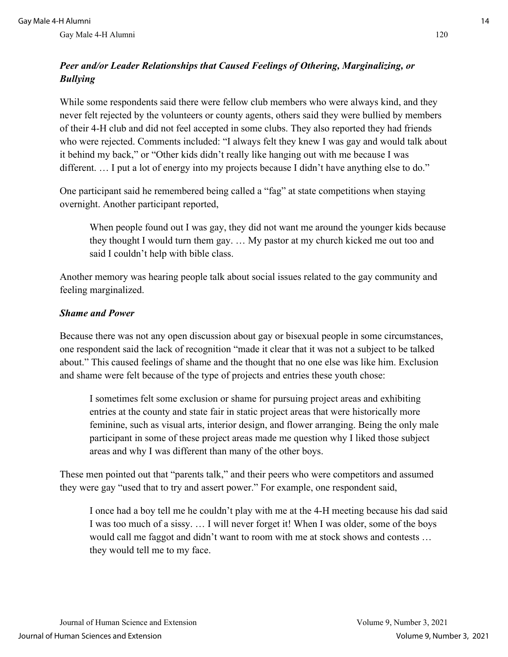# *Peer and/or Leader Relationships that Caused Feelings of Othering, Marginalizing, or Bullying*

While some respondents said there were fellow club members who were always kind, and they never felt rejected by the volunteers or county agents, others said they were bullied by members of their 4-H club and did not feel accepted in some clubs. They also reported they had friends who were rejected. Comments included: "I always felt they knew I was gay and would talk about it behind my back," or "Other kids didn't really like hanging out with me because I was different. ... I put a lot of energy into my projects because I didn't have anything else to do."

One participant said he remembered being called a "fag" at state competitions when staying overnight. Another participant reported,

When people found out I was gay, they did not want me around the younger kids because they thought I would turn them gay. … My pastor at my church kicked me out too and said I couldn't help with bible class.

Another memory was hearing people talk about social issues related to the gay community and feeling marginalized.

# *Shame and Power*

Because there was not any open discussion about gay or bisexual people in some circumstances, one respondent said the lack of recognition "made it clear that it was not a subject to be talked about." This caused feelings of shame and the thought that no one else was like him. Exclusion and shame were felt because of the type of projects and entries these youth chose:

I sometimes felt some exclusion or shame for pursuing project areas and exhibiting entries at the county and state fair in static project areas that were historically more feminine, such as visual arts, interior design, and flower arranging. Being the only male participant in some of these project areas made me question why I liked those subject areas and why I was different than many of the other boys.

These men pointed out that "parents talk," and their peers who were competitors and assumed they were gay "used that to try and assert power." For example, one respondent said,

I once had a boy tell me he couldn't play with me at the 4-H meeting because his dad said I was too much of a sissy. … I will never forget it! When I was older, some of the boys would call me faggot and didn't want to room with me at stock shows and contests … they would tell me to my face.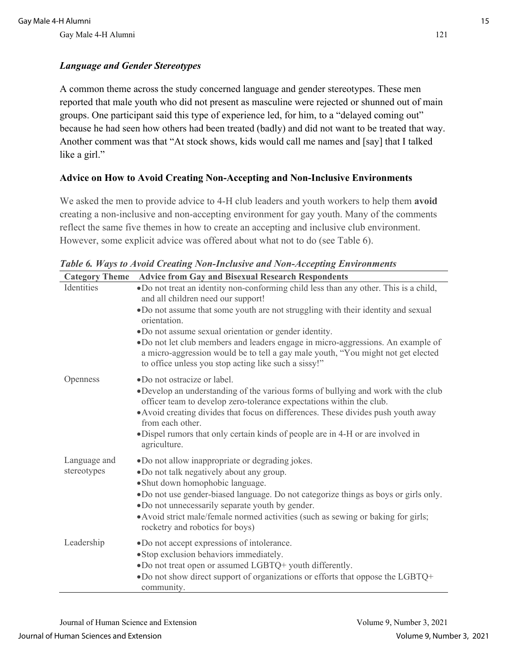# *Language and Gender Stereotypes*

A common theme across the study concerned language and gender stereotypes. These men reported that male youth who did not present as masculine were rejected or shunned out of main groups. One participant said this type of experience led, for him, to a "delayed coming out" because he had seen how others had been treated (badly) and did not want to be treated that way. Another comment was that "At stock shows, kids would call me names and [say] that I talked like a girl."

# **Advice on How to Avoid Creating Non-Accepting and Non-Inclusive Environments**

We asked the men to provide advice to 4-H club leaders and youth workers to help them **avoid** creating a non-inclusive and non-accepting environment for gay youth. Many of the comments reflect the same five themes in how to create an accepting and inclusive club environment. However, some explicit advice was offered about what not to do (see Table 6).

| <b>Category Theme</b> | <b>Advice from Gay and Bisexual Research Respondents</b>                                                                                                                                                                    |
|-----------------------|-----------------------------------------------------------------------------------------------------------------------------------------------------------------------------------------------------------------------------|
| Identities            | . Do not treat an identity non-conforming child less than any other. This is a child,<br>and all children need our support!                                                                                                 |
|                       | . Do not assume that some youth are not struggling with their identity and sexual<br>orientation.                                                                                                                           |
|                       | •Do not assume sexual orientation or gender identity.                                                                                                                                                                       |
|                       | •Do not let club members and leaders engage in micro-aggressions. An example of<br>a micro-aggression would be to tell a gay male youth, "You might not get elected<br>to office unless you stop acting like such a sissy!" |
| Openness              | ·Do not ostracize or label.                                                                                                                                                                                                 |
|                       | . Develop an understanding of the various forms of bullying and work with the club<br>officer team to develop zero-tolerance expectations within the club.                                                                  |
|                       | • Avoid creating divides that focus on differences. These divides push youth away<br>from each other.                                                                                                                       |
|                       | ·Dispel rumors that only certain kinds of people are in 4-H or are involved in<br>agriculture.                                                                                                                              |
| Language and          | •Do not allow inappropriate or degrading jokes.                                                                                                                                                                             |
| stereotypes           | •Do not talk negatively about any group.                                                                                                                                                                                    |
|                       | · Shut down homophobic language.                                                                                                                                                                                            |
|                       | . Do not use gender-biased language. Do not categorize things as boys or girls only.<br>•Do not unnecessarily separate youth by gender.                                                                                     |
|                       | • Avoid strict male/female normed activities (such as sewing or baking for girls;<br>rocketry and robotics for boys)                                                                                                        |
| Leadership            | •Do not accept expressions of intolerance.                                                                                                                                                                                  |
|                       | · Stop exclusion behaviors immediately.                                                                                                                                                                                     |
|                       | •Do not treat open or assumed LGBTQ+ youth differently.<br>. Do not show direct support of organizations or efforts that oppose the LGBTQ+<br>community.                                                                    |

*Table 6. Ways to Avoid Creating Non-Inclusive and Non-Accepting Environments*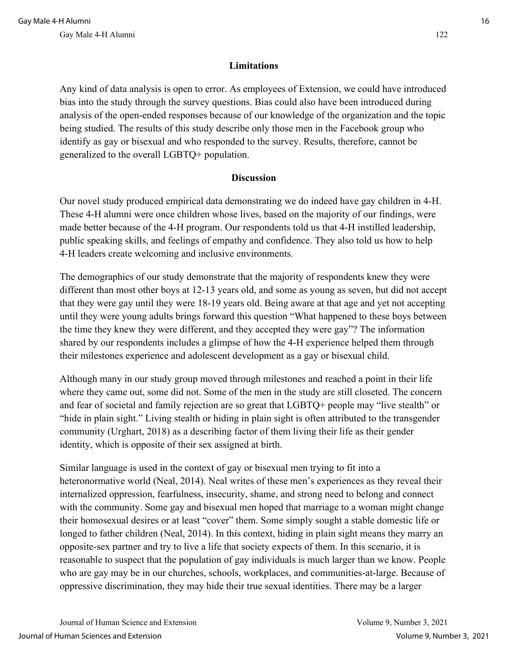### **Limitations**

Any kind of data analysis is open to error. As employees of Extension, we could have introduced bias into the study through the survey questions. Bias could also have been introduced during analysis of the open-ended responses because of our knowledge of the organization and the topic being studied. The results of this study describe only those men in the Facebook group who identify as gay or bisexual and who responded to the survey. Results, therefore, cannot be generalized to the overall LGBTQ+ population.

### **Discussion**

Our novel study produced empirical data demonstrating we do indeed have gay children in 4-H. These 4-H alumni were once children whose lives, based on the majority of our findings, were made better because of the 4-H program. Our respondents told us that 4-H instilled leadership, public speaking skills, and feelings of empathy and confidence. They also told us how to help 4-H leaders create welcoming and inclusive environments.

The demographics of our study demonstrate that the majority of respondents knew they were different than most other boys at 12-13 years old, and some as young as seven, but did not accept that they were gay until they were 18-19 years old. Being aware at that age and yet not accepting until they were young adults brings forward this question "What happened to these boys between the time they knew they were different, and they accepted they were gay"? The information shared by our respondents includes a glimpse of how the 4-H experience helped them through their milestones experience and adolescent development as a gay or bisexual child.

Although many in our study group moved through milestones and reached a point in their life where they came out, some did not. Some of the men in the study are still closeted. The concern and fear of societal and family rejection are so great that LGBTQ+ people may "live stealth" or "hide in plain sight." Living stealth or hiding in plain sight is often attributed to the transgender community (Urghart, 2018) as a describing factor of them living their life as their gender identity, which is opposite of their sex assigned at birth.

Similar language is used in the context of gay or bisexual men trying to fit into a heteronormative world (Neal, 2014). Neal writes of these men's experiences as they reveal their internalized oppression, fearfulness, insecurity, shame, and strong need to belong and connect with the community. Some gay and bisexual men hoped that marriage to a woman might change their homosexual desires or at least "cover" them. Some simply sought a stable domestic life or longed to father children (Neal, 2014). In this context, hiding in plain sight means they marry an opposite-sex partner and try to live a life that society expects of them. In this scenario, it is reasonable to suspect that the population of gay individuals is much larger than we know. People who are gay may be in our churches, schools, workplaces, and communities-at-large. Because of oppressive discrimination, they may hide their true sexual identities. There may be a larger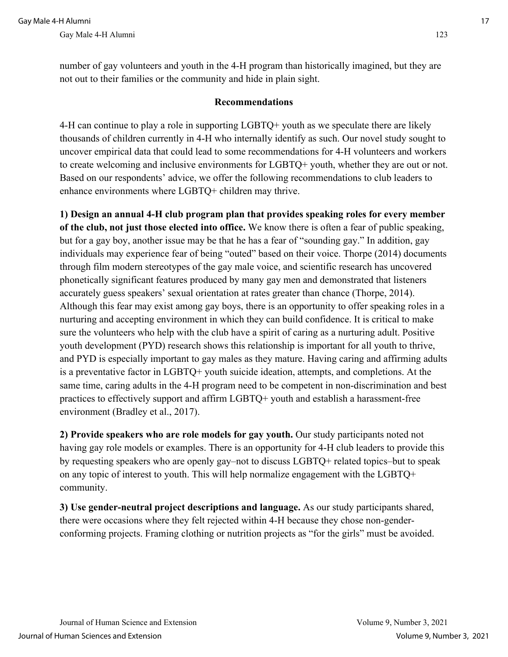number of gay volunteers and youth in the 4-H program than historically imagined, but they are not out to their families or the community and hide in plain sight.

### **Recommendations**

4-H can continue to play a role in supporting LGBTQ+ youth as we speculate there are likely thousands of children currently in 4-H who internally identify as such. Our novel study sought to uncover empirical data that could lead to some recommendations for 4-H volunteers and workers to create welcoming and inclusive environments for LGBTQ+ youth, whether they are out or not. Based on our respondents' advice, we offer the following recommendations to club leaders to enhance environments where LGBTQ+ children may thrive.

**1) Design an annual 4-H club program plan that provides speaking roles for every member of the club, not just those elected into office.** We know there is often a fear of public speaking, but for a gay boy, another issue may be that he has a fear of "sounding gay." In addition, gay individuals may experience fear of being "outed" based on their voice. Thorpe (2014) documents through film modern stereotypes of the gay male voice, and scientific research has uncovered phonetically significant features produced by many gay men and demonstrated that listeners accurately guess speakers' sexual orientation at rates greater than chance (Thorpe, 2014). Although this fear may exist among gay boys, there is an opportunity to offer speaking roles in a nurturing and accepting environment in which they can build confidence. It is critical to make sure the volunteers who help with the club have a spirit of caring as a nurturing adult. Positive youth development (PYD) research shows this relationship is important for all youth to thrive, and PYD is especially important to gay males as they mature. Having caring and affirming adults is a preventative factor in LGBTQ+ youth suicide ideation, attempts, and completions. At the same time, caring adults in the 4-H program need to be competent in non-discrimination and best practices to effectively support and affirm LGBTQ+ youth and establish a harassment-free environment (Bradley et al., 2017).

**2) Provide speakers who are role models for gay youth.** Our study participants noted not having gay role models or examples. There is an opportunity for 4-H club leaders to provide this by requesting speakers who are openly gay–not to discuss LGBTQ+ related topics–but to speak on any topic of interest to youth. This will help normalize engagement with the LGBTQ+ community.

**3) Use gender-neutral project descriptions and language.** As our study participants shared, there were occasions where they felt rejected within 4-H because they chose non-genderconforming projects. Framing clothing or nutrition projects as "for the girls" must be avoided.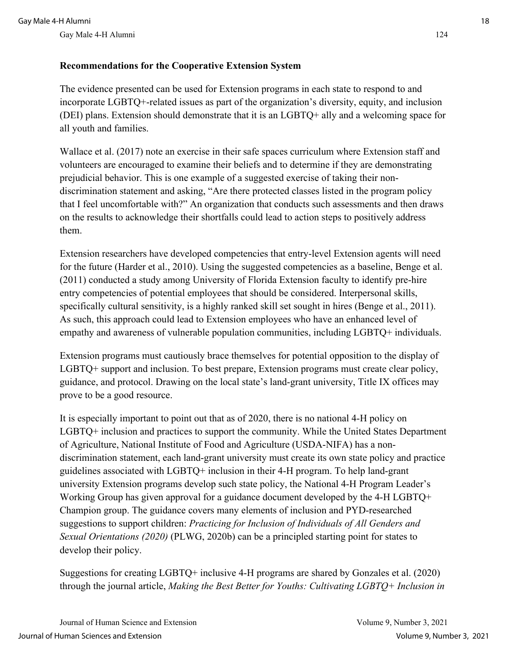# **Recommendations for the Cooperative Extension System**

The evidence presented can be used for Extension programs in each state to respond to and incorporate LGBTQ+-related issues as part of the organization's diversity, equity, and inclusion (DEI) plans. Extension should demonstrate that it is an LGBTQ+ ally and a welcoming space for all youth and families.

Wallace et al. (2017) note an exercise in their safe spaces curriculum where Extension staff and volunteers are encouraged to examine their beliefs and to determine if they are demonstrating prejudicial behavior. This is one example of a suggested exercise of taking their nondiscrimination statement and asking, "Are there protected classes listed in the program policy that I feel uncomfortable with?" An organization that conducts such assessments and then draws on the results to acknowledge their shortfalls could lead to action steps to positively address them.

Extension researchers have developed competencies that entry-level Extension agents will need for the future (Harder et al., 2010). Using the suggested competencies as a baseline, Benge et al. (2011) conducted a study among University of Florida Extension faculty to identify pre-hire entry competencies of potential employees that should be considered. Interpersonal skills, specifically cultural sensitivity, is a highly ranked skill set sought in hires (Benge et al., 2011). As such, this approach could lead to Extension employees who have an enhanced level of empathy and awareness of vulnerable population communities, including LGBTQ+ individuals.

Extension programs must cautiously brace themselves for potential opposition to the display of LGBTQ+ support and inclusion. To best prepare, Extension programs must create clear policy, guidance, and protocol. Drawing on the local state's land-grant university, Title IX offices may prove to be a good resource.

It is especially important to point out that as of 2020, there is no national 4-H policy on LGBTQ+ inclusion and practices to support the community. While the United States Department of Agriculture, National Institute of Food and Agriculture (USDA-NIFA) has a nondiscrimination statement, each land-grant university must create its own state policy and practice guidelines associated with LGBTQ+ inclusion in their 4-H program. To help land-grant university Extension programs develop such state policy, the National 4-H Program Leader's Working Group has given approval for a guidance document developed by the 4-H LGBTQ+ Champion group. The guidance covers many elements of inclusion and PYD-researched suggestions to support children: *Practicing for Inclusion of Individuals of All Genders and Sexual Orientations (2020)* (PLWG, 2020b) can be a principled starting point for states to develop their policy.

Suggestions for creating LGBTQ+ inclusive 4-H programs are shared by Gonzales et al. (2020) through the journal article, *Making the Best Better for Youths: Cultivating LGBTQ+ Inclusion in*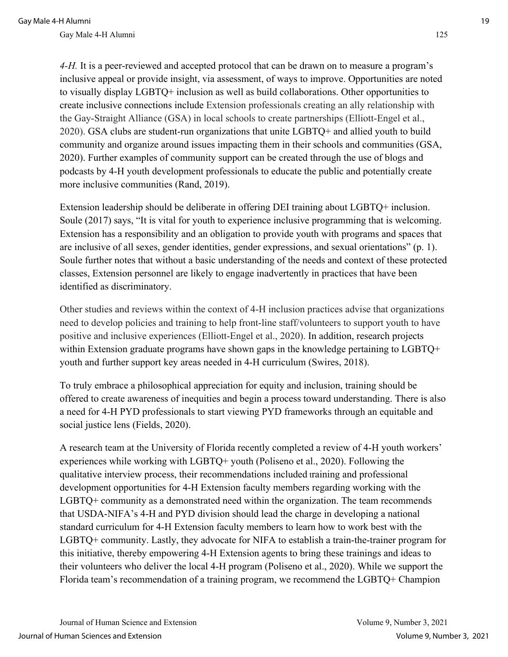*4-H.* It is a peer-reviewed and accepted protocol that can be drawn on to measure a program's inclusive appeal or provide insight, via assessment, of ways to improve. Opportunities are noted to visually display LGBTQ+ inclusion as well as build collaborations. Other opportunities to create inclusive connections include Extension professionals creating an ally relationship with the Gay-Straight Alliance (GSA) in local schools to create partnerships (Elliott-Engel et al., 2020). GSA clubs are student-run organizations that unite LGBTQ+ and allied youth to build community and organize around issues impacting them in their schools and communities (GSA, 2020). Further examples of community support can be created through the use of blogs and podcasts by 4-H youth development professionals to educate the public and potentially create more inclusive communities (Rand, 2019).

Extension leadership should be deliberate in offering DEI training about LGBTQ+ inclusion. Soule (2017) says, "It is vital for youth to experience inclusive programming that is welcoming. Extension has a responsibility and an obligation to provide youth with programs and spaces that are inclusive of all sexes, gender identities, gender expressions, and sexual orientations" (p. 1). Soule further notes that without a basic understanding of the needs and context of these protected classes, Extension personnel are likely to engage inadvertently in practices that have been identified as discriminatory.

Other studies and reviews within the context of 4-H inclusion practices advise that organizations need to develop policies and training to help front-line staff/volunteers to support youth to have positive and inclusive experiences (Elliott-Engel et al., 2020). In addition, research projects within Extension graduate programs have shown gaps in the knowledge pertaining to LGBTQ+ youth and further support key areas needed in 4-H curriculum (Swires, 2018).

To truly embrace a philosophical appreciation for equity and inclusion, training should be offered to create awareness of inequities and begin a process toward understanding. There is also a need for 4-H PYD professionals to start viewing PYD frameworks through an equitable and social justice lens (Fields, 2020).

A research team at the University of Florida recently completed a review of 4-H youth workers' experiences while working with LGBTQ+ youth (Poliseno et al., 2020). Following the qualitative interview process, their recommendations included training and professional development opportunities for 4-H Extension faculty members regarding working with the LGBTQ+ community as a demonstrated need within the organization. The team recommends that USDA-NIFA's 4-H and PYD division should lead the charge in developing a national standard curriculum for 4-H Extension faculty members to learn how to work best with the LGBTQ+ community. Lastly, they advocate for NIFA to establish a train-the-trainer program for this initiative, thereby empowering 4-H Extension agents to bring these trainings and ideas to their volunteers who deliver the local 4-H program (Poliseno et al., 2020). While we support the Florida team's recommendation of a training program, we recommend the LGBTQ+ Champion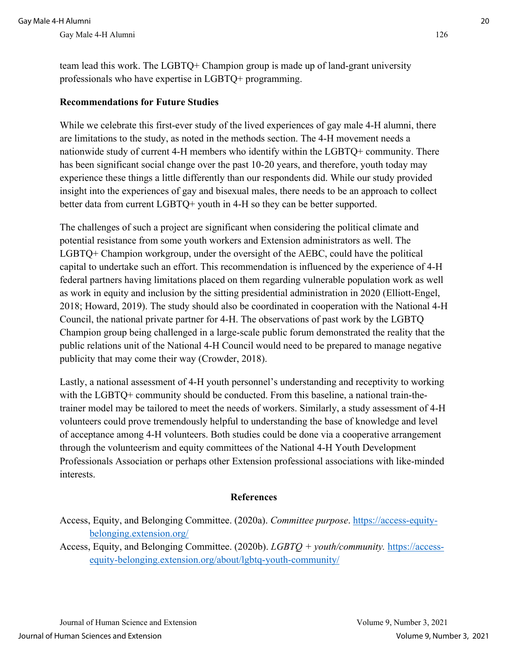team lead this work. The LGBTQ+ Champion group is made up of land-grant university professionals who have expertise in LGBTQ+ programming.

### **Recommendations for Future Studies**

While we celebrate this first-ever study of the lived experiences of gay male 4-H alumni, there are limitations to the study, as noted in the methods section. The 4-H movement needs a nationwide study of current 4-H members who identify within the LGBTQ+ community. There has been significant social change over the past 10-20 years, and therefore, youth today may experience these things a little differently than our respondents did. While our study provided insight into the experiences of gay and bisexual males, there needs to be an approach to collect better data from current LGBTQ+ youth in 4-H so they can be better supported.

The challenges of such a project are significant when considering the political climate and potential resistance from some youth workers and Extension administrators as well. The LGBTQ+ Champion workgroup, under the oversight of the AEBC, could have the political capital to undertake such an effort. This recommendation is influenced by the experience of 4-H federal partners having limitations placed on them regarding vulnerable population work as well as work in equity and inclusion by the sitting presidential administration in 2020 (Elliott-Engel, 2018; Howard, 2019). The study should also be coordinated in cooperation with the National 4-H Council, the national private partner for 4-H. The observations of past work by the LGBTQ Champion group being challenged in a large-scale public forum demonstrated the reality that the public relations unit of the National 4-H Council would need to be prepared to manage negative publicity that may come their way (Crowder, 2018).

Lastly, a national assessment of 4-H youth personnel's understanding and receptivity to working with the LGBTQ+ community should be conducted. From this baseline, a national train-thetrainer model may be tailored to meet the needs of workers. Similarly, a study assessment of 4-H volunteers could prove tremendously helpful to understanding the base of knowledge and level of acceptance among 4-H volunteers. Both studies could be done via a cooperative arrangement through the volunteerism and equity committees of the National 4-H Youth Development Professionals Association or perhaps other Extension professional associations with like-minded interests.

# **References**

Access, Equity, and Belonging Committee. (2020a). *Committee purpose*. [https://access-equity](https://access-equity-belonging.extension.org/)[belonging.extension.org/](https://access-equity-belonging.extension.org/)

Access, Equity, and Belonging Committee. (2020b). *LGBTQ + youth/community.* [https://access](https://access-equity-belonging.extension.org/about/lgbtq-youth-community/)[equity-belonging.extension.org/about/lgbtq-youth-community/](https://access-equity-belonging.extension.org/about/lgbtq-youth-community/)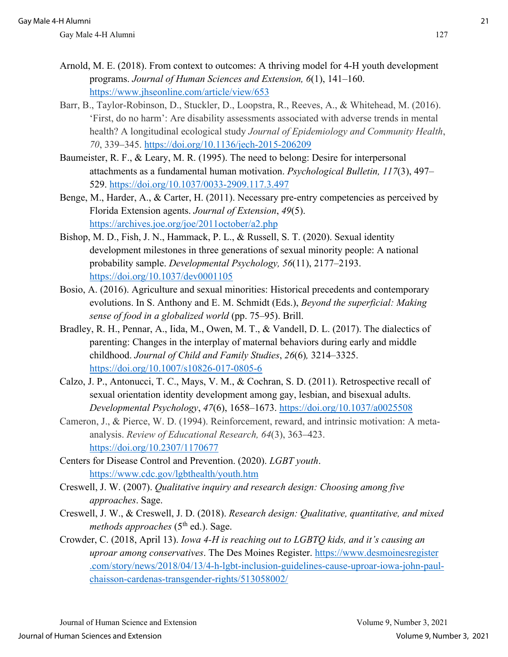- Arnold, M. E. (2018). From context to outcomes: A thriving model for 4-H youth development programs. *Journal of Human Sciences and Extension, 6*(1), 141–160. <https://www.jhseonline.com/article/view/653>
- Barr, B., Taylor-Robinson, D., Stuckler, D., Loopstra, R., Reeves, A., & Whitehead, M. (2016). 'First, do no harm': Are disability assessments associated with adverse trends in mental health? A longitudinal ecological study *Journal of Epidemiology and Community Health*, *70*, 339–345.<https://doi.org/10.1136/jech-2015-206209>
- Baumeister, R. F., & Leary, M. R. (1995). The need to belong: Desire for interpersonal attachments as a fundamental human motivation. *Psychological Bulletin, 117*(3), 497– 529.<https://doi.org/10.1037/0033-2909.117.3.497>
- Benge, M., Harder, A., & Carter, H. (2011). Necessary pre-entry competencies as perceived by Florida Extension agents. *Journal of Extension*, *49*(5). <https://archives.joe.org/joe/2011october/a2.php>
- Bishop, M. D., Fish, J. N., Hammack, P. L., & Russell, S. T. (2020). Sexual identity development milestones in three generations of sexual minority people: A national probability sample. *Developmental Psychology, 56*(11), 2177–2193. <https://doi.org/10.1037/dev0001105>
- Bosio, A. (2016). Agriculture and sexual minorities: Historical precedents and contemporary evolutions. In S. Anthony and E. M. Schmidt (Eds.), *Beyond the superficial: Making sense of food in a globalized world* (pp. 75–95). Brill.
- Bradley, R. H., Pennar, A., Iida, M., Owen, M. T., & Vandell, D. L. (2017). The dialectics of parenting: Changes in the interplay of maternal behaviors during early and middle childhood. *Journal of Child and Family Studies*, *26*(6)*,* 3214–3325. <https://doi.org/10.1007/s10826-017-0805-6>
- Calzo, J. P., Antonucci, T. C., Mays, V. M., & Cochran, S. D. (2011). Retrospective recall of sexual orientation identity development among gay, lesbian, and bisexual adults. *Developmental Psychology*, *47*(6), 1658–1673.<https://doi.org/10.1037/a0025508>
- Cameron, J., & Pierce, W. D. (1994). Reinforcement, reward, and intrinsic motivation: A metaanalysis. *Review of Educational Research, 64*(3), 363–423. <https://doi.org/10.2307/1170677>
- Centers for Disease Control and Prevention. (2020). *LGBT youth*. <https://www.cdc.gov/lgbthealth/youth.htm>
- Creswell, J. W. (2007). *Qualitative inquiry and research design: Choosing among five approaches*. Sage.
- Creswell, J. W., & Creswell, J. D. (2018). *Research design: Qualitative, quantitative, and mixed methods approaches* (5<sup>th</sup> ed.). Sage.
- Crowder, C. (2018, April 13). *Iowa 4-H is reaching out to LGBTQ kids, and it's causing an uproar among conservatives*. The Des Moines Register. [https://www.desmoinesregister](https://www.desmoinesregister.com/story/news/2018/04/13/4-h-lgbt-inclusion-guidelines-cause-uproar-iowa-john-paul-chaisson-cardenas-transgender-rights/513058002/)  [.com/story/news/2018/04/13/4-h-lgbt-inclusion-guidelines-cause-uproar-iowa-john-paul](https://www.desmoinesregister.com/story/news/2018/04/13/4-h-lgbt-inclusion-guidelines-cause-uproar-iowa-john-paul-chaisson-cardenas-transgender-rights/513058002/)[chaisson-cardenas-transgender-rights/513058002/](https://www.desmoinesregister.com/story/news/2018/04/13/4-h-lgbt-inclusion-guidelines-cause-uproar-iowa-john-paul-chaisson-cardenas-transgender-rights/513058002/)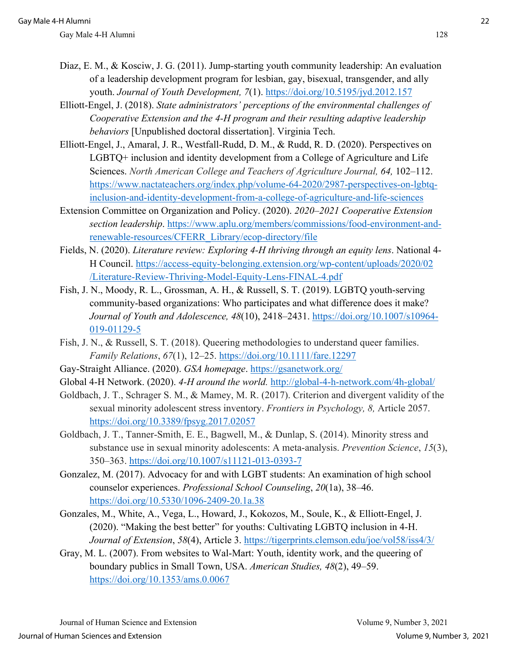- Diaz, E. M., & Kosciw, J. G. (2011). Jump-starting youth community leadership: An evaluation of a leadership development program for lesbian, gay, bisexual, transgender, and ally youth. *Journal of Youth Development, 7*(1).<https://doi.org/10.5195/jyd.2012.157>
- Elliott-Engel, J. (2018). *State administrators' perceptions of the environmental challenges of Cooperative Extension and the 4-H program and their resulting adaptive leadership behaviors* [Unpublished doctoral dissertation]. Virginia Tech.
- Elliott-Engel, J., Amaral, J. R., Westfall-Rudd, D. M., & Rudd, R. D. (2020). Perspectives on LGBTQ+ inclusion and identity development from a College of Agriculture and Life Sciences. *North American College and Teachers of Agriculture Journal, 64,* 102–112. [https://www.nactateachers.org/index.php/volume-64-2020/2987-perspectives-on-lgbtq](https://www.nactateachers.org/index.php/volume-64-2020/2987-perspectives-on-lgbtq-inclusion-and-identity-development-from-a-college-of-agriculture-and-life-sciences)[inclusion-and-identity-development-from-a-college-of-agriculture-and-life-sciences](https://www.nactateachers.org/index.php/volume-64-2020/2987-perspectives-on-lgbtq-inclusion-and-identity-development-from-a-college-of-agriculture-and-life-sciences)
- Extension Committee on Organization and Policy. (2020). *2020*–*2021 Cooperative Extension section leadership*. [https://www.aplu.org/members/commissions/food-environment-and](https://www.aplu.org/members/commissions/food-environment-and-renewable-resources/CFERR_Library/ecop-directory/file)[renewable-resources/CFERR\\_Library/ecop-directory/file](https://www.aplu.org/members/commissions/food-environment-and-renewable-resources/CFERR_Library/ecop-directory/file)
- Fields, N. (2020). *Literature review: Exploring 4-H thriving through an equity lens*. National 4- H Council. [https://access-equity-belonging.extension.org/wp-content/uploads/2020/02](https://access-equity-belonging.extension.org/wp-content/uploads/2020/02/Literature-Review-Thriving-Model-Equity-Lens-FINAL-4.pdf)  [/Literature-Review-Thriving-Model-Equity-Lens-FINAL-4.pdf](https://access-equity-belonging.extension.org/wp-content/uploads/2020/02/Literature-Review-Thriving-Model-Equity-Lens-FINAL-4.pdf)
- Fish, J. N., Moody, R. L., Grossman, A. H., & Russell, S. T. (2019). LGBTQ youth-serving community-based organizations: Who participates and what difference does it make? *Journal of Youth and Adolescence, 48*(10), 2418–2431. [https://doi.org/10.1007/s10964-](https://doi.org/10.1007/s10964-019-01129-5) [019-01129-5](https://doi.org/10.1007/s10964-019-01129-5)
- Fish, J. N., & Russell, S. T. (2018). Queering methodologies to understand queer families. *Family Relations*, *67*(1), 12–25.<https://doi.org/10.1111/fare.12297>
- Gay-Straight Alliance. (2020). *GSA homepage*.<https://gsanetwork.org/>
- Global 4-H Network. (2020). *4-H around the world.* <http://global-4-h-network.com/4h-global/>
- Goldbach, J. T., Schrager S. M., & Mamey, M. R. (2017). Criterion and divergent validity of the sexual minority adolescent stress inventory. *Frontiers in Psychology, 8,* Article 2057. <https://doi.org/10.3389/fpsyg.2017.02057>
- Goldbach, J. T., Tanner-Smith, E. E., Bagwell, M., & Dunlap, S. (2014). Minority stress and substance use in sexual minority adolescents: A meta-analysis. *Prevention Science*, *15*(3), 350–363.<https://doi.org/10.1007/s11121-013-0393-7>
- Gonzalez, M. (2017). Advocacy for and with LGBT students: An examination of high school counselor experiences. *Professional School Counseling*, *20*(1a), 38–46. <https://doi.org/10.5330/1096-2409-20.1a.38>
- Gonzales, M., White, A., Vega, L., Howard, J., Kokozos, M., Soule, K., & Elliott-Engel, J. (2020). "Making the best better" for youths: Cultivating LGBTQ inclusion in 4-H. *Journal of Extension*, *58*(4), Article 3.<https://tigerprints.clemson.edu/joe/vol58/iss4/3/>
- Gray, M. L. (2007). From websites to Wal-Mart: Youth, identity work, and the queering of boundary publics in Small Town, USA. *American Studies, 48*(2), 49–59. <https://doi.org/10.1353/ams.0.0067>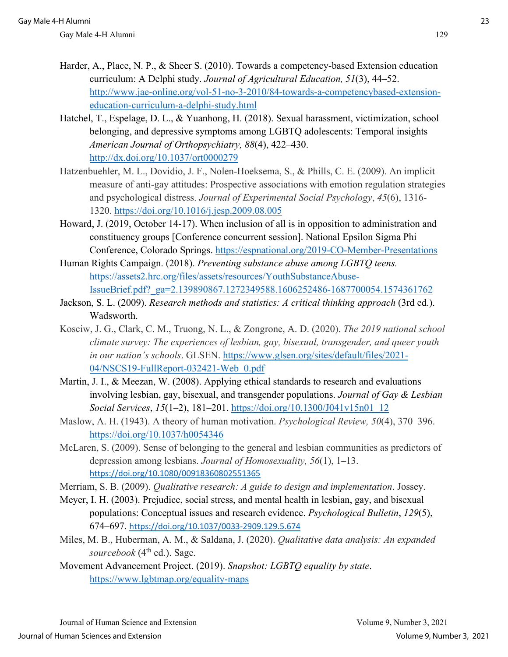- Harder, A., Place, N. P., & Sheer S. (2010). Towards a competency-based Extension education curriculum: A Delphi study. *Journal of Agricultural Education, 51*(3), 44–52. [http://www.jae-online.org/vol-51-no-3-2010/84-towards-a-competencybased-extension](http://www.jae-online.org/vol-51-no-3-2010/84-towards-a-competencybased-extension-education-curriculum-a-delphi-study.html)[education-curriculum-a-delphi-study.html](http://www.jae-online.org/vol-51-no-3-2010/84-towards-a-competencybased-extension-education-curriculum-a-delphi-study.html)
- Hatchel, T., Espelage, D. L., & Yuanhong, H. (2018). Sexual harassment, victimization, school belonging, and depressive symptoms among LGBTQ adolescents: Temporal insights *American Journal of Orthopsychiatry, 88*(4), 422–430. <http://dx.doi.org/10.1037/ort0000279>
- Hatzenbuehler, M. L., Dovidio, J. F., Nolen-Hoeksema, S., & Phills, C. E. (2009). An implicit measure of anti-gay attitudes: Prospective associations with emotion regulation strategies and psychological distress. *Journal of Experimental Social Psychology*, *45*(6), 1316- 1320.<https://doi.org/10.1016/j.jesp.2009.08.005>
- Howard, J. (2019, October 14-17). When inclusion of all is in opposition to administration and constituency groups [Conference concurrent session]. National Epsilon Sigma Phi Conference, Colorado Springs.<https://espnational.org/2019-CO-Member-Presentations>
- Human Rights Campaign. (2018). *Preventing substance abuse among LGBTQ teens.* [https://assets2.hrc.org/files/assets/resources/YouthSubstanceAbuse-](https://assets2.hrc.org/files/assets/resources/YouthSubstanceAbuse-IssueBrief.pdf?_ga=2.139890867.1272349588.1606252486-1687700054.1574361762)[IssueBrief.pdf?\\_ga=2.139890867.1272349588.1606252486-1687700054.1574361762](https://assets2.hrc.org/files/assets/resources/YouthSubstanceAbuse-IssueBrief.pdf?_ga=2.139890867.1272349588.1606252486-1687700054.1574361762)
- Jackson, S. L. (2009). *Research methods and statistics: A critical thinking approach* (3rd ed.). Wadsworth.
- Kosciw, J. G., Clark, C. M., Truong, N. L., & Zongrone, A. D. (2020). *The 2019 national school climate survey: The experiences of lesbian, gay, bisexual, transgender, and queer youth in our nation's schools*. GLSEN. [https://www.glsen.org/sites/default/files/2021-](https://www.glsen.org/sites/default/files/2021-04/NSCS19-FullReport-032421-Web_0.pdf) [04/NSCS19-FullReport-032421-Web\\_0.pdf](https://www.glsen.org/sites/default/files/2021-04/NSCS19-FullReport-032421-Web_0.pdf)
- Martin, J. I., & Meezan, W. (2008). Applying ethical standards to research and evaluations involving lesbian, gay, bisexual, and transgender populations. *Journal of Gay & Lesbian Social Services*, *15*(1–2), 181–201. [https://doi.org/10.1300/J041v15n01\\_12](https://doi.org/10.1300/J041v15n01_12)
- Maslow, A. H. (1943). A theory of human motivation. *Psychological Review, 50*(4), 370–396. <https://doi.org/10.1037/h0054346>
- McLaren, S. (2009). Sense of belonging to the general and lesbian communities as predictors of depression among lesbians. *Journal of Homosexuality, 56*(1), 1–13. <https://doi.org/10.1080/00918360802551365>
- Merriam, S. B. (2009). *Qualitative research: A guide to design and implementation*. Jossey.
- Meyer, I. H. (2003). Prejudice, social stress, and mental health in lesbian, gay, and bisexual populations: Conceptual issues and research evidence. *Psychological Bulletin*, *129*(5), 674–697. <https://doi.org/10.1037/0033-2909.129.5.674>
- Miles, M. B., Huberman, A. M., & Saldana, J. (2020). *Qualitative data analysis: An expanded*  sourcebook (4<sup>th</sup> ed.). Sage.
- Movement Advancement Project. (2019). *Snapshot: LGBTQ equality by state*. <https://www.lgbtmap.org/equality-maps>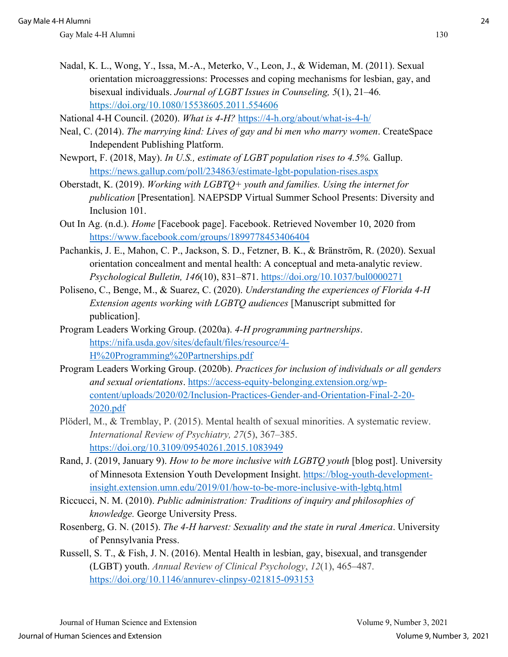- Nadal, K. L., Wong, Y., Issa, M.-A., Meterko, V., Leon, J., & Wideman, M. (2011). Sexual orientation microaggressions: Processes and coping mechanisms for lesbian, gay, and bisexual individuals. *Journal of LGBT Issues in Counseling, 5*(1), 21–46*.*  https://doi.org/10.1080/15538605.2011.554606
- National 4-H Council. (2020). *What is 4-H?* https://4-h.org/about/what-is-4-h/
- Neal, C. (2014). *The marrying kind: Lives of gay and bi men who marry women*. CreateSpace Independent Publishing Platform.
- Newport, F. (2018, May). *In U.S., estimate of LGBT population rises to 4.5%.* Gallup. https://news.gallup.com/poll/234863/estimate-lgbt-population-rises.aspx
- Oberstadt, K. (2019). *Working with LGBTQ+ youth and families. Using the internet for publication* [Presentation]*.* NAEPSDP Virtual Summer School Presents: Diversity and Inclusion 101.
- Out In Ag. (n.d.). *Home* [Facebook page]. Facebook. Retrieved November 10, 2020 from https://www.facebook.com/groups/1899778453406404
- Pachankis, J. E., Mahon, C. P., Jackson, S. D., Fetzner, B. K., & Bränström, R. (2020). Sexual orientation concealment and mental health: A conceptual and meta-analytic review. *Psychological Bulletin, 146*(10), 831–871. https://doi.org/10.1037/bul0000271
- Poliseno, C., Benge, M., & Suarez, C. (2020). *Understanding the experiences of Florida 4-H Extension agents working with LGBTQ audiences* [Manuscript submitted for publication].
- Program Leaders Working Group. (2020a). *4-H programming partnerships*. https://nifa.usda.gov/sites/default/files/resource/4- H%20Programming%20Partnerships.pdf
- Program Leaders Working Group. (2020b). *Practices for inclusion of individuals or all genders and sexual orientations*. https://access-equity-belonging.extension.org/wpcontent/uploads/2020/02/Inclusion-Practices-Gender-and-Orientation-Final-2-20- 2020.pdf
- Plöderl, M., & Tremblay, P. (2015). Mental health of sexual minorities. A systematic review. *International Review of Psychiatry, 27*(5), 367–385. https://doi.org/10.3109/09540261.2015.1083949
- Rand, J. (2019, January 9). *How to be more inclusive with LGBTQ youth* [blog post]. University of Minnesota Extension Youth Development Insight. https://blog-youth-developmentinsight.extension.umn.edu/2019/01/how-to-be-more-inclusive-with-lgbtq.html
- Riccucci, N. M. (2010). *Public administration: Traditions of inquiry and philosophies of knowledge.* George University Press.
- Rosenberg, G. N. (2015). *The 4-H harvest: Sexuality and the state in rural America*. University of Pennsylvania Press.
- Russell, S. T., & Fish, J. N. (2016). Mental Health in lesbian, gay, bisexual, and transgender (LGBT) youth. *Annual Review of Clinical Psychology*, *12*(1), 465–487. https://doi.org/10.1146/annurev-clinpsy-021815-093153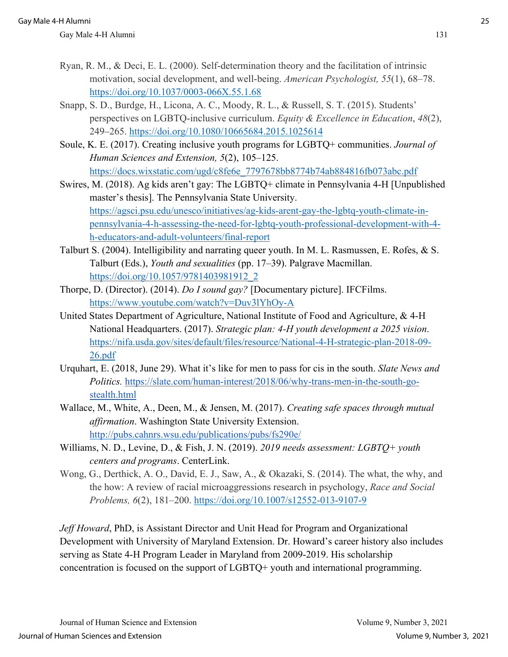- Ryan, R. M., & Deci, E. L. (2000). Self-determination theory and the facilitation of intrinsic motivation, social development, and well-being. *American Psychologist, 55*(1), 68–78. https://doi.org/10.1037/0003-066X.55.1.68
- Snapp, S. D., Burdge, H., Licona, A. C., Moody, R. L., & Russell, S. T. (2015). Students' perspectives on LGBTQ-inclusive curriculum. *Equity & Excellence in Education*, *48*(2), 249–265. https://doi.org/10.1080/10665684.2015.1025614
- Soule, K. E. (2017). Creating inclusive youth programs for LGBTQ+ communities. *Journal of Human Sciences and Extension, 5*(2), 105–125. https://docs.wixstatic.com/ugd/c8fe6e\_7797678bb8774b74ab884816fb073abc.pdf
- Swires, M. (2018). Ag kids aren't gay: The LGBTQ+ climate in Pennsylvania 4-H [Unpublished master's thesis]. The Pennsylvania State University. https://agsci.psu.edu/unesco/initiatives/ag-kids-arent-gay-the-lgbtq-youth-climate-inpennsylvania-4-h-assessing-the-need-for-lgbtq-youth-professional-development-with-4 h-educators-and-adult-volunteers/final-report
- Talburt S. (2004). Intelligibility and narrating queer youth. In M. L. Rasmussen, E. Rofes, & S. Talburt (Eds.), *Youth and sexualities* (pp. 17–39). Palgrave Macmillan. https://doi.org/10.1057/9781403981912\_2
- Thorpe, D. (Director). (2014). *Do I sound gay?* [Documentary picture]. IFCFilms. https://www.youtube.com/watch?v=Duv3lYhOy-A
- United States Department of Agriculture, National Institute of Food and Agriculture, & 4-H National Headquarters. (2017). *Strategic plan: 4-H youth development a 2025 vision*. https://nifa.usda.gov/sites/default/files/resource/National-4-H-strategic-plan-2018-09- 26.pdf
- Urquhart, E. (2018, June 29). What it's like for men to pass for cis in the south. *Slate News and Politics.* https://slate.com/human-interest/2018/06/why-trans-men-in-the-south-gostealth.html
- Wallace, M., White, A., Deen, M., & Jensen, M. (2017). *Creating safe spaces through mutual affirmation*. Washington State University Extension. http://pubs.cahnrs.wsu.edu/publications/pubs/fs290e/
- Williams, N. D., Levine, D., & Fish, J. N. (2019). *2019 needs assessment: LGBTQ+ youth centers and programs*. CenterLink.
- Wong, G., Derthick, A. O., David, E. J., Saw, A., & Okazaki, S. (2014). The what, the why, and the how: A review of racial microaggressions research in psychology, *Race and Social Problems, 6*(2), 181–200. https://doi.org/10.1007/s12552-013-9107-9

*Jeff Howard*, PhD, is Assistant Director and Unit Head for Program and Organizational Development with University of Maryland Extension. Dr. Howard's career history also includes serving as State 4-H Program Leader in Maryland from 2009-2019. His scholarship concentration is focused on the support of LGBTQ+ youth and international programming.